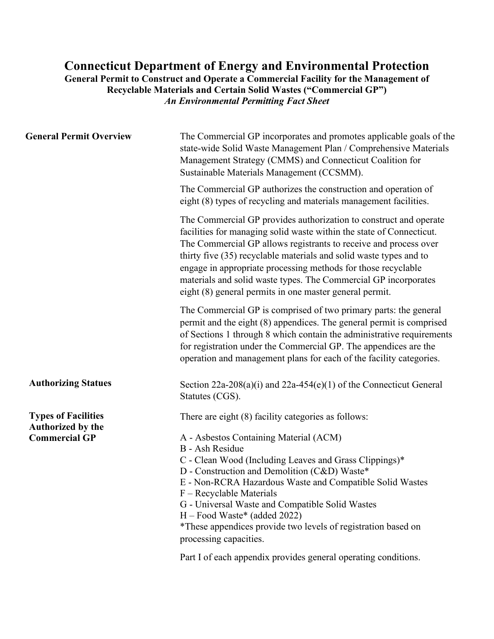## **Connecticut Department of Energy and Environmental Protection General Permit to Construct and Operate a Commercial Facility for the Management of Recyclable Materials and Certain Solid Wastes ("Commercial GP")** *An Environmental Permitting Fact Sheet*

| <b>General Permit Overview</b>                  | The Commercial GP incorporates and promotes applicable goals of the<br>state-wide Solid Waste Management Plan / Comprehensive Materials<br>Management Strategy (CMMS) and Connecticut Coalition for<br>Sustainable Materials Management (CCSMM).                                                                                                                                                                                                                                   |  |  |  |
|-------------------------------------------------|------------------------------------------------------------------------------------------------------------------------------------------------------------------------------------------------------------------------------------------------------------------------------------------------------------------------------------------------------------------------------------------------------------------------------------------------------------------------------------|--|--|--|
|                                                 | The Commercial GP authorizes the construction and operation of<br>eight (8) types of recycling and materials management facilities.                                                                                                                                                                                                                                                                                                                                                |  |  |  |
|                                                 | The Commercial GP provides authorization to construct and operate<br>facilities for managing solid waste within the state of Connecticut.<br>The Commercial GP allows registrants to receive and process over<br>thirty five (35) recyclable materials and solid waste types and to<br>engage in appropriate processing methods for those recyclable<br>materials and solid waste types. The Commercial GP incorporates<br>eight (8) general permits in one master general permit. |  |  |  |
|                                                 | The Commercial GP is comprised of two primary parts: the general<br>permit and the eight (8) appendices. The general permit is comprised<br>of Sections 1 through 8 which contain the administrative requirements<br>for registration under the Commercial GP. The appendices are the<br>operation and management plans for each of the facility categories.                                                                                                                       |  |  |  |
| <b>Authorizing Statues</b>                      | Section 22a-208(a)(i) and 22a-454(e)(1) of the Connecticut General<br>Statutes (CGS).                                                                                                                                                                                                                                                                                                                                                                                              |  |  |  |
| <b>Types of Facilities</b><br>Authorized by the | There are eight (8) facility categories as follows:                                                                                                                                                                                                                                                                                                                                                                                                                                |  |  |  |
| <b>Commercial GP</b>                            | A - Asbestos Containing Material (ACM)<br><b>B</b> - Ash Residue<br>C - Clean Wood (Including Leaves and Grass Clippings)*<br>D - Construction and Demolition (C&D) Waste*<br>E - Non-RCRA Hazardous Waste and Compatible Solid Wastes<br>F – Recyclable Materials<br>G - Universal Waste and Compatible Solid Wastes<br>H - Food Waste* (added 2022)<br>*These appendices provide two levels of registration based on<br>processing capacities.                                   |  |  |  |
|                                                 | Part I of each appendix provides general operating conditions.                                                                                                                                                                                                                                                                                                                                                                                                                     |  |  |  |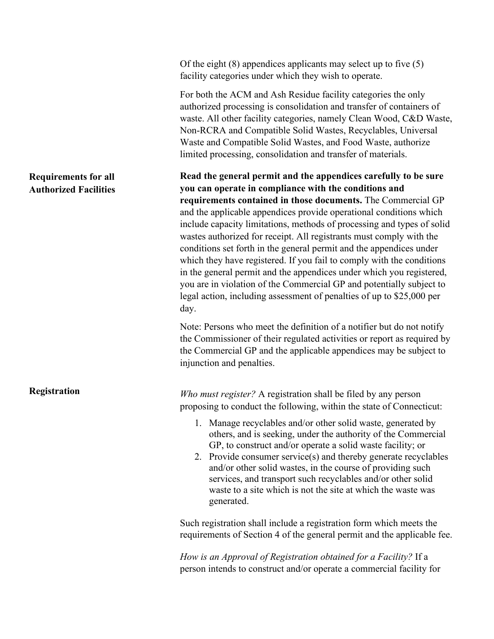Of the eight (8) appendices applicants may select up to five (5) facility categories under which they wish to operate.

For both the ACM and Ash Residue facility categories the only authorized processing is consolidation and transfer of containers of waste. All other facility categories, namely Clean Wood, C&D Waste, Non-RCRA and Compatible Solid Wastes, Recyclables, Universal Waste and Compatible Solid Wastes, and Food Waste, authorize limited processing, consolidation and transfer of materials.

**Read the general permit and the appendices carefully to be sure you can operate in compliance with the conditions and requirements contained in those documents.** The Commercial GP and the applicable appendices provide operational conditions which include capacity limitations, methods of processing and types of solid wastes authorized for receipt. All registrants must comply with the conditions set forth in the general permit and the appendices under which they have registered. If you fail to comply with the conditions in the general permit and the appendices under which you registered, you are in violation of the Commercial GP and potentially subject to legal action, including assessment of penalties of up to \$25,000 per day.

Note: Persons who meet the definition of a notifier but do not notify the Commissioner of their regulated activities or report as required by the Commercial GP and the applicable appendices may be subject to injunction and penalties.

*Who must register?* A registration shall be filed by any person proposing to conduct the following, within the state of Connecticut:

- 1. Manage recyclables and/or other solid waste, generated by others, and is seeking, under the authority of the Commercial GP, to construct and/or operate a solid waste facility; or
- 2. Provide consumer service(s) and thereby generate recyclables and/or other solid wastes, in the course of providing such services, and transport such recyclables and/or other solid waste to a site which is not the site at which the waste was generated.

Such registration shall include a registration form which meets the requirements of Section 4 of the general permit and the applicable fee.

*How is an Approval of Registration obtained for a Facility?* If a person intends to construct and/or operate a commercial facility for

## **Requirements for all Authorized Facilities**

**Registration**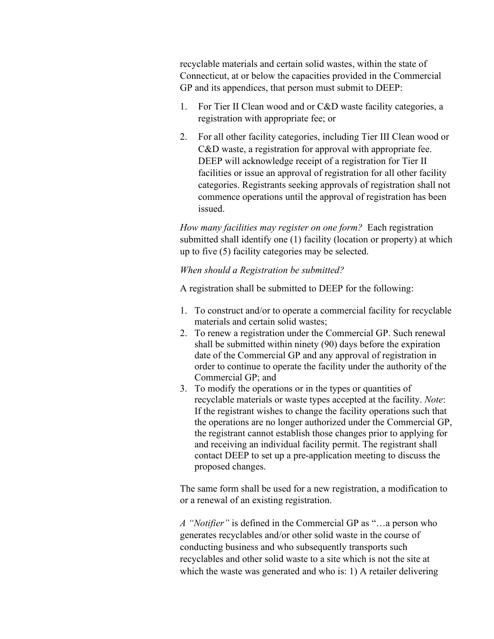recyclable materials and certain solid wastes, within the state of Connecticut, at or below the capacities provided in the Commercial GP and its appendices, that person must submit to DEEP:

- 1. For Tier II Clean wood and or C&D waste facility categories, a registration with appropriate fee; or
- 2. For all other facility categories, including Tier III Clean wood or C&D waste, a registration for approval with appropriate fee. DEEP will acknowledge receipt of a registration for Tier II facilities or issue an approval of registration for all other facility categories. Registrants seeking approvals of registration shall not commence operations until the approval of registration has been issued.

*How many facilities may register on one form?* Each registration submitted shall identify one (1) facility (location or property) at which up to five (5) facility categories may be selected.

## *When should a Registration be submitted?*

A registration shall be submitted to DEEP for the following:

- 1. To construct and/or to operate a commercial facility for recyclable materials and certain solid wastes;
- 2. To renew a registration under the Commercial GP. Such renewal shall be submitted within ninety (90) days before the expiration date of the Commercial GP and any approval of registration in order to continue to operate the facility under the authority of the Commercial GP; and
- 3. To modify the operations or in the types or quantities of recyclable materials or waste types accepted at the facility. *Note*: If the registrant wishes to change the facility operations such that the operations are no longer authorized under the Commercial GP, the registrant cannot establish those changes prior to applying for and receiving an individual facility permit. The registrant shall contact DEEP to set up a pre-application meeting to discuss the proposed changes.

The same form shall be used for a new registration, a modification to or a renewal of an existing registration.

*A "Notifier"* is defined in the Commercial GP as "…a person who generates recyclables and/or other solid waste in the course of conducting business and who subsequently transports such recyclables and other solid waste to a site which is not the site at which the waste was generated and who is: 1) A retailer delivering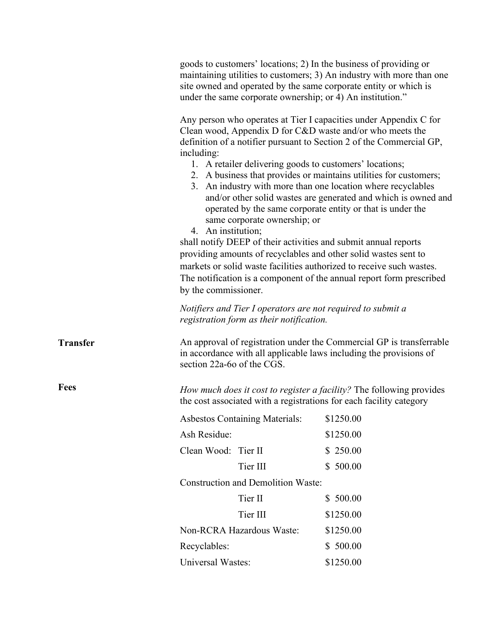|                 | goods to customers' locations; 2) In the business of providing or<br>maintaining utilities to customers; 3) An industry with more than one<br>site owned and operated by the same corporate entity or which is<br>under the same corporate ownership; or 4) An institution."                                                                                                                                                                                                                                                                                                                                                                                                                                                                                                                                                                                                                                             |           |  |  |
|-----------------|--------------------------------------------------------------------------------------------------------------------------------------------------------------------------------------------------------------------------------------------------------------------------------------------------------------------------------------------------------------------------------------------------------------------------------------------------------------------------------------------------------------------------------------------------------------------------------------------------------------------------------------------------------------------------------------------------------------------------------------------------------------------------------------------------------------------------------------------------------------------------------------------------------------------------|-----------|--|--|
|                 | Any person who operates at Tier I capacities under Appendix C for<br>Clean wood, Appendix D for C&D waste and/or who meets the<br>definition of a notifier pursuant to Section 2 of the Commercial GP,<br>including:<br>1. A retailer delivering goods to customers' locations;<br>2. A business that provides or maintains utilities for customers;<br>3. An industry with more than one location where recyclables<br>and/or other solid wastes are generated and which is owned and<br>operated by the same corporate entity or that is under the<br>same corporate ownership; or<br>4. An institution;<br>shall notify DEEP of their activities and submit annual reports<br>providing amounts of recyclables and other solid wastes sent to<br>markets or solid waste facilities authorized to receive such wastes.<br>The notification is a component of the annual report form prescribed<br>by the commissioner. |           |  |  |
|                 | Notifiers and Tier I operators are not required to submit a<br>registration form as their notification.                                                                                                                                                                                                                                                                                                                                                                                                                                                                                                                                                                                                                                                                                                                                                                                                                  |           |  |  |
| <b>Transfer</b> | An approval of registration under the Commercial GP is transferrable<br>in accordance with all applicable laws including the provisions of<br>section 22a-6o of the CGS.                                                                                                                                                                                                                                                                                                                                                                                                                                                                                                                                                                                                                                                                                                                                                 |           |  |  |
| <b>Fees</b>     | How much does it cost to register a facility? The following provides<br>the cost associated with a registrations for each facility category                                                                                                                                                                                                                                                                                                                                                                                                                                                                                                                                                                                                                                                                                                                                                                              |           |  |  |
|                 | Asbestos Containing Materials: \$1250.00                                                                                                                                                                                                                                                                                                                                                                                                                                                                                                                                                                                                                                                                                                                                                                                                                                                                                 |           |  |  |
|                 | Ash Residue:                                                                                                                                                                                                                                                                                                                                                                                                                                                                                                                                                                                                                                                                                                                                                                                                                                                                                                             | \$1250.00 |  |  |
|                 | Clean Wood: Tier II                                                                                                                                                                                                                                                                                                                                                                                                                                                                                                                                                                                                                                                                                                                                                                                                                                                                                                      | \$250.00  |  |  |
|                 | Tier III                                                                                                                                                                                                                                                                                                                                                                                                                                                                                                                                                                                                                                                                                                                                                                                                                                                                                                                 | \$500.00  |  |  |
|                 | <b>Construction and Demolition Waste:</b>                                                                                                                                                                                                                                                                                                                                                                                                                                                                                                                                                                                                                                                                                                                                                                                                                                                                                |           |  |  |
|                 | Tier II                                                                                                                                                                                                                                                                                                                                                                                                                                                                                                                                                                                                                                                                                                                                                                                                                                                                                                                  | \$500.00  |  |  |
|                 | Tier III                                                                                                                                                                                                                                                                                                                                                                                                                                                                                                                                                                                                                                                                                                                                                                                                                                                                                                                 | \$1250.00 |  |  |
|                 | Non-RCRA Hazardous Waste:                                                                                                                                                                                                                                                                                                                                                                                                                                                                                                                                                                                                                                                                                                                                                                                                                                                                                                | \$1250.00 |  |  |
|                 | Recyclables:                                                                                                                                                                                                                                                                                                                                                                                                                                                                                                                                                                                                                                                                                                                                                                                                                                                                                                             | \$500.00  |  |  |
|                 | Universal Wastes:                                                                                                                                                                                                                                                                                                                                                                                                                                                                                                                                                                                                                                                                                                                                                                                                                                                                                                        | \$1250.00 |  |  |